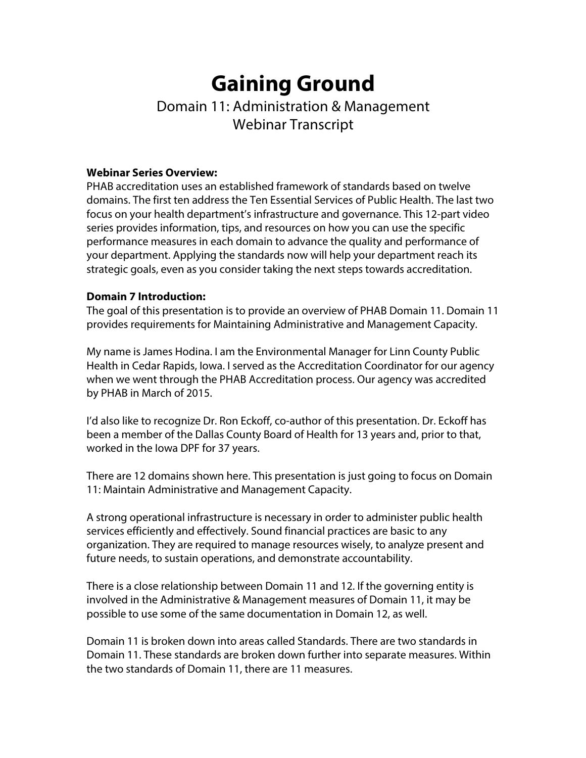# **Gaining Ground**

# Domain 11: Administration & Management Webinar Transcript

#### **Webinar Series Overview:**

PHAB accreditation uses an established framework of standards based on twelve domains. The first ten address the Ten Essential Services of Public Health. The last two focus on your health department's infrastructure and governance. This 12-part video series provides information, tips, and resources on how you can use the specific performance measures in each domain to advance the quality and performance of your department. Applying the standards now will help your department reach its strategic goals, even as you consider taking the next steps towards accreditation.

#### **Domain 7 Introduction:**

The goal of this presentation is to provide an overview of PHAB Domain 11. Domain 11 provides requirements for Maintaining Administrative and Management Capacity.

My name is James Hodina. I am the Environmental Manager for Linn County Public Health in Cedar Rapids, Iowa. I served as the Accreditation Coordinator for our agency when we went through the PHAB Accreditation process. Our agency was accredited by PHAB in March of 2015.

I'd also like to recognize Dr. Ron Eckoff, co-author of this presentation. Dr. Eckoff has been a member of the Dallas County Board of Health for 13 years and, prior to that, worked in the Iowa DPF for 37 years.

There are 12 domains shown here. This presentation is just going to focus on Domain 11: Maintain Administrative and Management Capacity.

A strong operational infrastructure is necessary in order to administer public health services efficiently and effectively. Sound financial practices are basic to any organization. They are required to manage resources wisely, to analyze present and future needs, to sustain operations, and demonstrate accountability.

There is a close relationship between Domain 11 and 12. If the governing entity is involved in the Administrative & Management measures of Domain 11, it may be possible to use some of the same documentation in Domain 12, as well.

Domain 11 is broken down into areas called Standards. There are two standards in Domain 11. These standards are broken down further into separate measures. Within the two standards of Domain 11, there are 11 measures.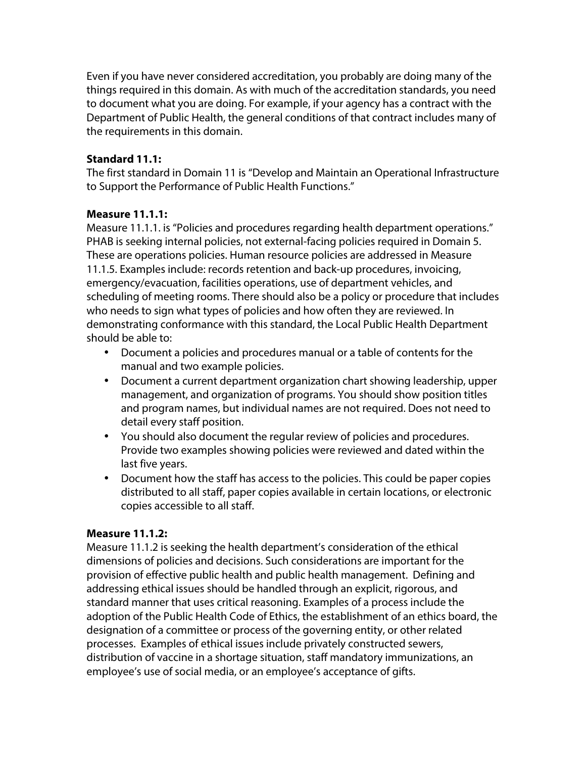Even if you have never considered accreditation, you probably are doing many of the things required in this domain. As with much of the accreditation standards, you need to document what you are doing. For example, if your agency has a contract with the Department of Public Health, the general conditions of that contract includes many of the requirements in this domain.

#### **Standard 11.1:**

The first standard in Domain 11 is "Develop and Maintain an Operational Infrastructure to Support the Performance of Public Health Functions."

#### **Measure 11.1.1:**

Measure 11.1.1. is "Policies and procedures regarding health department operations." PHAB is seeking internal policies, not external-facing policies required in Domain 5. These are operations policies. Human resource policies are addressed in Measure 11.1.5. Examples include: records retention and back-up procedures, invoicing, emergency/evacuation, facilities operations, use of department vehicles, and scheduling of meeting rooms. There should also be a policy or procedure that includes who needs to sign what types of policies and how often they are reviewed. In demonstrating conformance with this standard, the Local Public Health Department should be able to:

- Document a policies and procedures manual or a table of contents for the manual and two example policies.
- Document a current department organization chart showing leadership, upper management, and organization of programs. You should show position titles and program names, but individual names are not required. Does not need to detail every staff position.
- You should also document the regular review of policies and procedures. Provide two examples showing policies were reviewed and dated within the last five years.
- Document how the staff has access to the policies. This could be paper copies distributed to all staff, paper copies available in certain locations, or electronic copies accessible to all staff.

#### **Measure 11.1.2:**

Measure 11.1.2 is seeking the health department's consideration of the ethical dimensions of policies and decisions. Such considerations are important for the provision of effective public health and public health management. Defining and addressing ethical issues should be handled through an explicit, rigorous, and standard manner that uses critical reasoning. Examples of a process include the adoption of the Public Health Code of Ethics, the establishment of an ethics board, the designation of a committee or process of the governing entity, or other related processes. Examples of ethical issues include privately constructed sewers, distribution of vaccine in a shortage situation, staff mandatory immunizations, an employee's use of social media, or an employee's acceptance of gifts.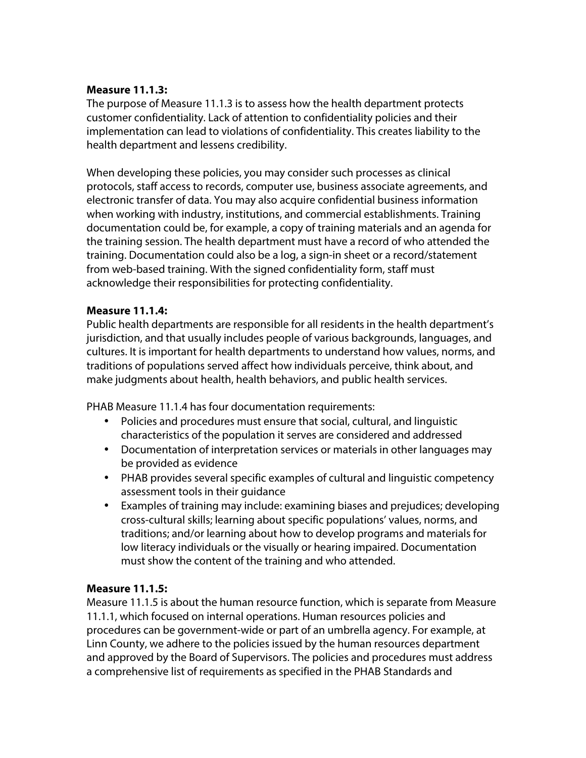#### **Measure 11.1.3:**

The purpose of Measure 11.1.3 is to assess how the health department protects customer confidentiality. Lack of attention to confidentiality policies and their implementation can lead to violations of confidentiality. This creates liability to the health department and lessens credibility.

When developing these policies, you may consider such processes as clinical protocols, staff access to records, computer use, business associate agreements, and electronic transfer of data. You may also acquire confidential business information when working with industry, institutions, and commercial establishments. Training documentation could be, for example, a copy of training materials and an agenda for the training session. The health department must have a record of who attended the training. Documentation could also be a log, a sign-in sheet or a record/statement from web-based training. With the signed confidentiality form, staff must acknowledge their responsibilities for protecting confidentiality.

#### **Measure 11.1.4:**

Public health departments are responsible for all residents in the health department's jurisdiction, and that usually includes people of various backgrounds, languages, and cultures. It is important for health departments to understand how values, norms, and traditions of populations served affect how individuals perceive, think about, and make judgments about health, health behaviors, and public health services.

PHAB Measure 11.1.4 has four documentation requirements:

- Policies and procedures must ensure that social, cultural, and linguistic characteristics of the population it serves are considered and addressed
- Documentation of interpretation services or materials in other languages may be provided as evidence
- PHAB provides several specific examples of cultural and linguistic competency assessment tools in their guidance
- Examples of training may include: examining biases and prejudices; developing cross-cultural skills; learning about specific populations' values, norms, and traditions; and/or learning about how to develop programs and materials for low literacy individuals or the visually or hearing impaired. Documentation must show the content of the training and who attended.

#### **Measure 11.1.5:**

Measure 11.1.5 is about the human resource function, which is separate from Measure 11.1.1, which focused on internal operations. Human resources policies and procedures can be government-wide or part of an umbrella agency. For example, at Linn County, we adhere to the policies issued by the human resources department and approved by the Board of Supervisors. The policies and procedures must address a comprehensive list of requirements as specified in the PHAB Standards and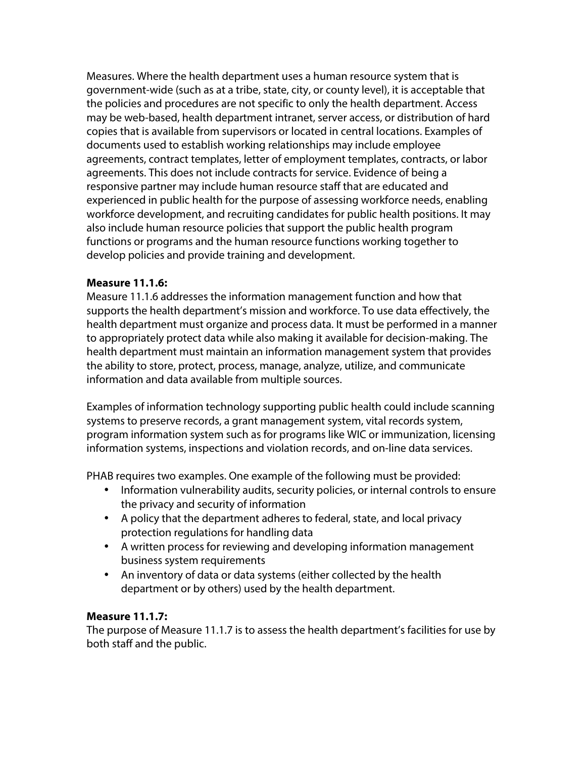Measures. Where the health department uses a human resource system that is government-wide (such as at a tribe, state, city, or county level), it is acceptable that the policies and procedures are not specific to only the health department. Access may be web-based, health department intranet, server access, or distribution of hard copies that is available from supervisors or located in central locations. Examples of documents used to establish working relationships may include employee agreements, contract templates, letter of employment templates, contracts, or labor agreements. This does not include contracts for service. Evidence of being a responsive partner may include human resource staff that are educated and experienced in public health for the purpose of assessing workforce needs, enabling workforce development, and recruiting candidates for public health positions. It may also include human resource policies that support the public health program functions or programs and the human resource functions working together to develop policies and provide training and development.

#### **Measure 11.1.6:**

Measure 11.1.6 addresses the information management function and how that supports the health department's mission and workforce. To use data effectively, the health department must organize and process data. It must be performed in a manner to appropriately protect data while also making it available for decision-making. The health department must maintain an information management system that provides the ability to store, protect, process, manage, analyze, utilize, and communicate information and data available from multiple sources.

Examples of information technology supporting public health could include scanning systems to preserve records, a grant management system, vital records system, program information system such as for programs like WIC or immunization, licensing information systems, inspections and violation records, and on-line data services.

PHAB requires two examples. One example of the following must be provided:

- Information vulnerability audits, security policies, or internal controls to ensure the privacy and security of information
- A policy that the department adheres to federal, state, and local privacy protection regulations for handling data
- A written process for reviewing and developing information management business system requirements
- An inventory of data or data systems (either collected by the health department or by others) used by the health department.

#### **Measure 11.1.7:**

The purpose of Measure 11.1.7 is to assess the health department's facilities for use by both staff and the public.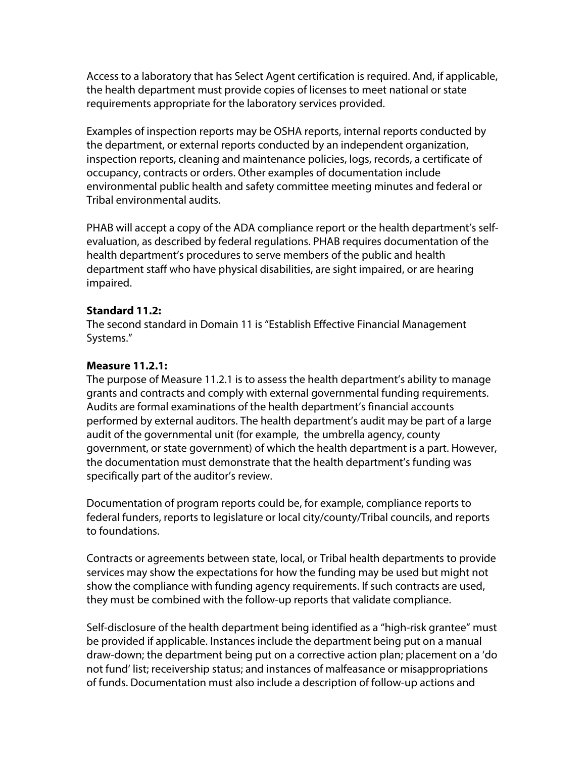Access to a laboratory that has Select Agent certification is required. And, if applicable, the health department must provide copies of licenses to meet national or state requirements appropriate for the laboratory services provided.

Examples of inspection reports may be OSHA reports, internal reports conducted by the department, or external reports conducted by an independent organization, inspection reports, cleaning and maintenance policies, logs, records, a certificate of occupancy, contracts or orders. Other examples of documentation include environmental public health and safety committee meeting minutes and federal or Tribal environmental audits.

PHAB will accept a copy of the ADA compliance report or the health department's selfevaluation, as described by federal regulations. PHAB requires documentation of the health department's procedures to serve members of the public and health department staff who have physical disabilities, are sight impaired, or are hearing impaired.

#### **Standard 11.2:**

The second standard in Domain 11 is "Establish Effective Financial Management Systems."

## **Measure 11.2.1:**

The purpose of Measure 11.2.1 is to assess the health department's ability to manage grants and contracts and comply with external governmental funding requirements. Audits are formal examinations of the health department's financial accounts performed by external auditors. The health department's audit may be part of a large audit of the governmental unit (for example, the umbrella agency, county government, or state government) of which the health department is a part. However, the documentation must demonstrate that the health department's funding was specifically part of the auditor's review.

Documentation of program reports could be, for example, compliance reports to federal funders, reports to legislature or local city/county/Tribal councils, and reports to foundations.

Contracts or agreements between state, local, or Tribal health departments to provide services may show the expectations for how the funding may be used but might not show the compliance with funding agency requirements. If such contracts are used, they must be combined with the follow-up reports that validate compliance.

Self-disclosure of the health department being identified as a "high-risk grantee" must be provided if applicable. Instances include the department being put on a manual draw-down; the department being put on a corrective action plan; placement on a 'do not fund' list; receivership status; and instances of malfeasance or misappropriations of funds. Documentation must also include a description of follow-up actions and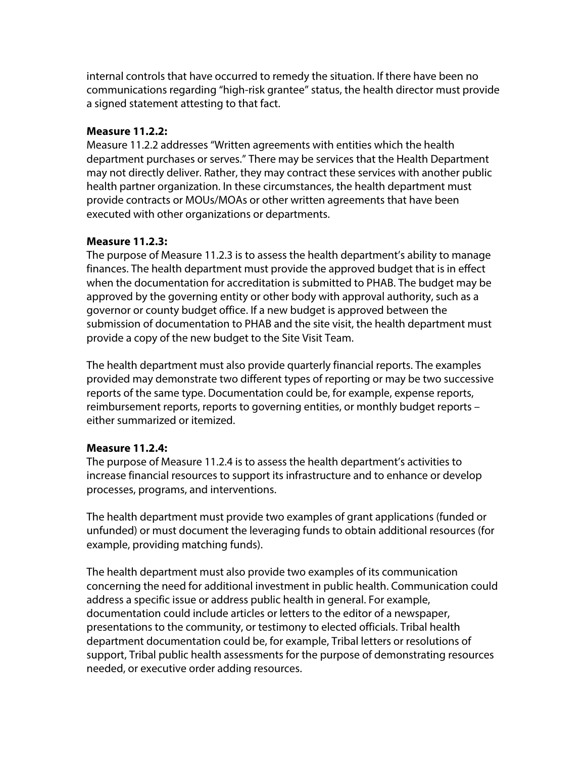internal controls that have occurred to remedy the situation. If there have been no communications regarding "high-risk grantee" status, the health director must provide a signed statement attesting to that fact.

#### **Measure 11.2.2:**

Measure 11.2.2 addresses "Written agreements with entities which the health department purchases or serves." There may be services that the Health Department may not directly deliver. Rather, they may contract these services with another public health partner organization. In these circumstances, the health department must provide contracts or MOUs/MOAs or other written agreements that have been executed with other organizations or departments.

## **Measure 11.2.3:**

The purpose of Measure 11.2.3 is to assess the health department's ability to manage finances. The health department must provide the approved budget that is in effect when the documentation for accreditation is submitted to PHAB. The budget may be approved by the governing entity or other body with approval authority, such as a governor or county budget office. If a new budget is approved between the submission of documentation to PHAB and the site visit, the health department must provide a copy of the new budget to the Site Visit Team.

The health department must also provide quarterly financial reports. The examples provided may demonstrate two different types of reporting or may be two successive reports of the same type. Documentation could be, for example, expense reports, reimbursement reports, reports to governing entities, or monthly budget reports – either summarized or itemized.

# **Measure 11.2.4:**

The purpose of Measure 11.2.4 is to assess the health department's activities to increase financial resources to support its infrastructure and to enhance or develop processes, programs, and interventions.

The health department must provide two examples of grant applications (funded or unfunded) or must document the leveraging funds to obtain additional resources (for example, providing matching funds).

The health department must also provide two examples of its communication concerning the need for additional investment in public health. Communication could address a specific issue or address public health in general. For example, documentation could include articles or letters to the editor of a newspaper, presentations to the community, or testimony to elected officials. Tribal health department documentation could be, for example, Tribal letters or resolutions of support, Tribal public health assessments for the purpose of demonstrating resources needed, or executive order adding resources.